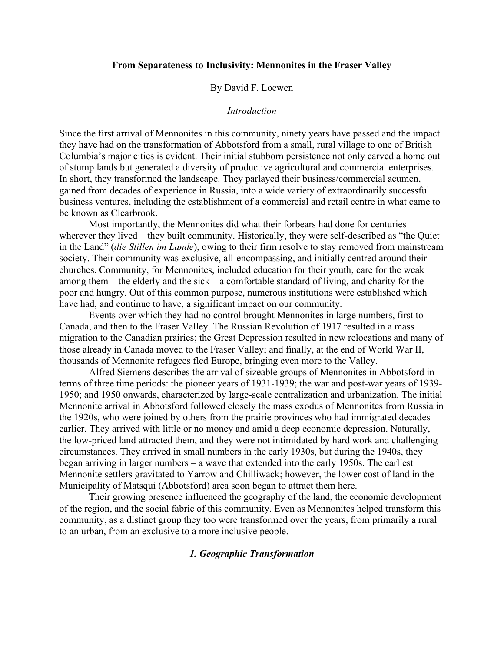#### **From Separateness to Inclusivity: Mennonites in the Fraser Valley**

### By David F. Loewen

#### *Introduction*

Since the first arrival of Mennonites in this community, ninety years have passed and the impact they have had on the transformation of Abbotsford from a small, rural village to one of British Columbia's major cities is evident. Their initial stubborn persistence not only carved a home out of stump lands but generated a diversity of productive agricultural and commercial enterprises. In short, they transformed the landscape. They parlayed their business/commercial acumen, gained from decades of experience in Russia, into a wide variety of extraordinarily successful business ventures, including the establishment of a commercial and retail centre in what came to be known as Clearbrook.

Most importantly, the Mennonites did what their forbears had done for centuries wherever they lived – they built community. Historically, they were self-described as "the Quiet in the Land" (*die Stillen im Lande*), owing to their firm resolve to stay removed from mainstream society. Their community was exclusive, all-encompassing, and initially centred around their churches. Community, for Mennonites, included education for their youth, care for the weak among them – the elderly and the sick – a comfortable standard of living, and charity for the poor and hungry. Out of this common purpose, numerous institutions were established which have had, and continue to have, a significant impact on our community.

Events over which they had no control brought Mennonites in large numbers, first to Canada, and then to the Fraser Valley. The Russian Revolution of 1917 resulted in a mass migration to the Canadian prairies; the Great Depression resulted in new relocations and many of those already in Canada moved to the Fraser Valley; and finally, at the end of World War II, thousands of Mennonite refugees fled Europe, bringing even more to the Valley.

Alfred Siemens describes the arrival of sizeable groups of Mennonites in Abbotsford in terms of three time periods: the pioneer years of 1931-1939; the war and post-war years of 1939- 1950; and 1950 onwards, characterized by large-scale centralization and urbanization. The initial Mennonite arrival in Abbotsford followed closely the mass exodus of Mennonites from Russia in the 1920s, who were joined by others from the prairie provinces who had immigrated decades earlier. They arrived with little or no money and amid a deep economic depression. Naturally, the low-priced land attracted them, and they were not intimidated by hard work and challenging circumstances. They arrived in small numbers in the early 1930s, but during the 1940s, they began arriving in larger numbers – a wave that extended into the early 1950s. The earliest Mennonite settlers gravitated to Yarrow and Chilliwack; however, the lower cost of land in the Municipality of Matsqui (Abbotsford) area soon began to attract them here.

Their growing presence influenced the geography of the land, the economic development of the region, and the social fabric of this community. Even as Mennonites helped transform this community, as a distinct group they too were transformed over the years, from primarily a rural to an urban, from an exclusive to a more inclusive people.

## *1. Geographic Transformation*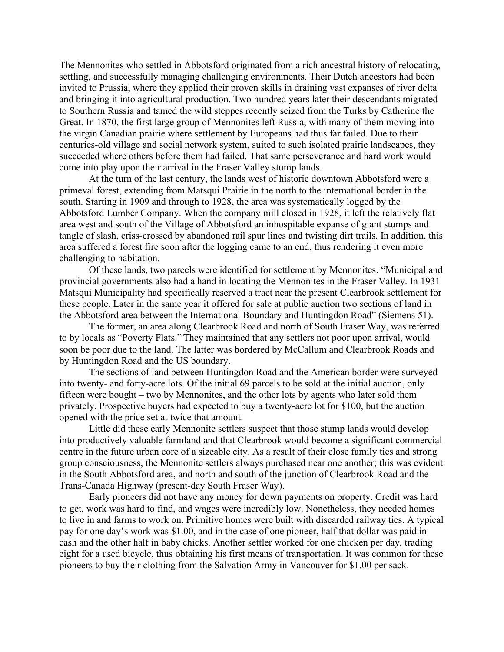The Mennonites who settled in Abbotsford originated from a rich ancestral history of relocating, settling, and successfully managing challenging environments. Their Dutch ancestors had been invited to Prussia, where they applied their proven skills in draining vast expanses of river delta and bringing it into agricultural production. Two hundred years later their descendants migrated to Southern Russia and tamed the wild steppes recently seized from the Turks by Catherine the Great. In 1870, the first large group of Mennonites left Russia, with many of them moving into the virgin Canadian prairie where settlement by Europeans had thus far failed. Due to their centuries-old village and social network system, suited to such isolated prairie landscapes, they succeeded where others before them had failed. That same perseverance and hard work would come into play upon their arrival in the Fraser Valley stump lands.

At the turn of the last century, the lands west of historic downtown Abbotsford were a primeval forest, extending from Matsqui Prairie in the north to the international border in the south. Starting in 1909 and through to 1928, the area was systematically logged by the Abbotsford Lumber Company. When the company mill closed in 1928, it left the relatively flat area west and south of the Village of Abbotsford an inhospitable expanse of giant stumps and tangle of slash, criss-crossed by abandoned rail spur lines and twisting dirt trails. In addition, this area suffered a forest fire soon after the logging came to an end, thus rendering it even more challenging to habitation.

Of these lands, two parcels were identified for settlement by Mennonites. "Municipal and provincial governments also had a hand in locating the Mennonites in the Fraser Valley. In 1931 Matsqui Municipality had specifically reserved a tract near the present Clearbrook settlement for these people. Later in the same year it offered for sale at public auction two sections of land in the Abbotsford area between the International Boundary and Huntingdon Road" (Siemens 51).

The former, an area along Clearbrook Road and north of South Fraser Way, was referred to by locals as "Poverty Flats." They maintained that any settlers not poor upon arrival, would soon be poor due to the land. The latter was bordered by McCallum and Clearbrook Roads and by Huntingdon Road and the US boundary.

The sections of land between Huntingdon Road and the American border were surveyed into twenty- and forty-acre lots. Of the initial 69 parcels to be sold at the initial auction, only fifteen were bought – two by Mennonites, and the other lots by agents who later sold them privately. Prospective buyers had expected to buy a twenty-acre lot for \$100, but the auction opened with the price set at twice that amount.

Little did these early Mennonite settlers suspect that those stump lands would develop into productively valuable farmland and that Clearbrook would become a significant commercial centre in the future urban core of a sizeable city. As a result of their close family ties and strong group consciousness, the Mennonite settlers always purchased near one another; this was evident in the South Abbotsford area, and north and south of the junction of Clearbrook Road and the Trans-Canada Highway (present-day South Fraser Way).

Early pioneers did not have any money for down payments on property. Credit was hard to get, work was hard to find, and wages were incredibly low. Nonetheless, they needed homes to live in and farms to work on. Primitive homes were built with discarded railway ties. A typical pay for one day's work was \$1.00, and in the case of one pioneer, half that dollar was paid in cash and the other half in baby chicks. Another settler worked for one chicken per day, trading eight for a used bicycle, thus obtaining his first means of transportation. It was common for these pioneers to buy their clothing from the Salvation Army in Vancouver for \$1.00 per sack.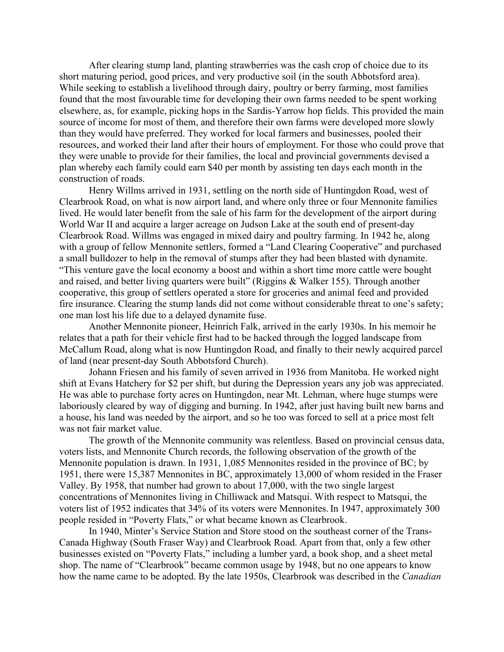After clearing stump land, planting strawberries was the cash crop of choice due to its short maturing period, good prices, and very productive soil (in the south Abbotsford area). While seeking to establish a livelihood through dairy, poultry or berry farming, most families found that the most favourable time for developing their own farms needed to be spent working elsewhere, as, for example, picking hops in the Sardis-Yarrow hop fields. This provided the main source of income for most of them, and therefore their own farms were developed more slowly than they would have preferred. They worked for local farmers and businesses, pooled their resources, and worked their land after their hours of employment. For those who could prove that they were unable to provide for their families, the local and provincial governments devised a plan whereby each family could earn \$40 per month by assisting ten days each month in the construction of roads.

Henry Willms arrived in 1931, settling on the north side of Huntingdon Road, west of Clearbrook Road, on what is now airport land, and where only three or four Mennonite families lived. He would later benefit from the sale of his farm for the development of the airport during World War II and acquire a larger acreage on Judson Lake at the south end of present-day Clearbrook Road. Willms was engaged in mixed dairy and poultry farming. In 1942 he, along with a group of fellow Mennonite settlers, formed a "Land Clearing Cooperative" and purchased a small bulldozer to help in the removal of stumps after they had been blasted with dynamite. "This venture gave the local economy a boost and within a short time more cattle were bought and raised, and better living quarters were built" (Riggins & Walker 155). Through another cooperative, this group of settlers operated a store for groceries and animal feed and provided fire insurance. Clearing the stump lands did not come without considerable threat to one's safety; one man lost his life due to a delayed dynamite fuse.

Another Mennonite pioneer, Heinrich Falk, arrived in the early 1930s. In his memoir he relates that a path for their vehicle first had to be hacked through the logged landscape from McCallum Road, along what is now Huntingdon Road, and finally to their newly acquired parcel of land (near present-day South Abbotsford Church).

Johann Friesen and his family of seven arrived in 1936 from Manitoba. He worked night shift at Evans Hatchery for \$2 per shift, but during the Depression years any job was appreciated. He was able to purchase forty acres on Huntingdon, near Mt. Lehman, where huge stumps were laboriously cleared by way of digging and burning. In 1942, after just having built new barns and a house, his land was needed by the airport, and so he too was forced to sell at a price most felt was not fair market value.

The growth of the Mennonite community was relentless. Based on provincial census data, voters lists, and Mennonite Church records, the following observation of the growth of the Mennonite population is drawn. In 1931, 1,085 Mennonites resided in the province of BC; by 1951, there were 15,387 Mennonites in BC, approximately 13,000 of whom resided in the Fraser Valley. By 1958, that number had grown to about 17,000, with the two single largest concentrations of Mennonites living in Chilliwack and Matsqui. With respect to Matsqui, the voters list of 1952 indicates that 34% of its voters were Mennonites. In 1947, approximately 300 people resided in "Poverty Flats," or what became known as Clearbrook.

In 1940, Minter's Service Station and Store stood on the southeast corner of the Trans-Canada Highway (South Fraser Way) and Clearbrook Road. Apart from that, only a few other businesses existed on "Poverty Flats," including a lumber yard, a book shop, and a sheet metal shop. The name of "Clearbrook" became common usage by 1948, but no one appears to know how the name came to be adopted. By the late 1950s, Clearbrook was described in the *Canadian*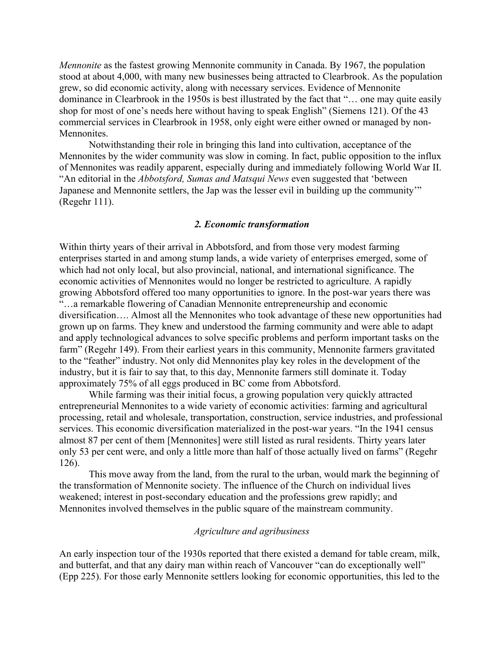*Mennonite* as the fastest growing Mennonite community in Canada. By 1967, the population stood at about 4,000, with many new businesses being attracted to Clearbrook. As the population grew, so did economic activity, along with necessary services. Evidence of Mennonite dominance in Clearbrook in the 1950s is best illustrated by the fact that "… one may quite easily shop for most of one's needs here without having to speak English" (Siemens 121). Of the 43 commercial services in Clearbrook in 1958, only eight were either owned or managed by non-Mennonites.

Notwithstanding their role in bringing this land into cultivation, acceptance of the Mennonites by the wider community was slow in coming. In fact, public opposition to the influx of Mennonites was readily apparent, especially during and immediately following World War II. "An editorial in the *Abbotsford, Sumas and Matsqui News* even suggested that 'between Japanese and Mennonite settlers, the Jap was the lesser evil in building up the community'" (Regehr 111).

# *2. Economic transformation*

Within thirty years of their arrival in Abbotsford, and from those very modest farming enterprises started in and among stump lands, a wide variety of enterprises emerged, some of which had not only local, but also provincial, national, and international significance. The economic activities of Mennonites would no longer be restricted to agriculture. A rapidly growing Abbotsford offered too many opportunities to ignore. In the post-war years there was "…a remarkable flowering of Canadian Mennonite entrepreneurship and economic diversification…. Almost all the Mennonites who took advantage of these new opportunities had grown up on farms. They knew and understood the farming community and were able to adapt and apply technological advances to solve specific problems and perform important tasks on the farm" (Regehr 149). From their earliest years in this community, Mennonite farmers gravitated to the "feather" industry. Not only did Mennonites play key roles in the development of the industry, but it is fair to say that, to this day, Mennonite farmers still dominate it. Today approximately 75% of all eggs produced in BC come from Abbotsford.

While farming was their initial focus, a growing population very quickly attracted entrepreneurial Mennonites to a wide variety of economic activities: farming and agricultural processing, retail and wholesale, transportation, construction, service industries, and professional services. This economic diversification materialized in the post-war years. "In the 1941 census almost 87 per cent of them [Mennonites] were still listed as rural residents. Thirty years later only 53 per cent were, and only a little more than half of those actually lived on farms" (Regehr 126).

This move away from the land, from the rural to the urban, would mark the beginning of the transformation of Mennonite society. The influence of the Church on individual lives weakened; interest in post-secondary education and the professions grew rapidly; and Mennonites involved themselves in the public square of the mainstream community.

### *Agriculture and agribusiness*

An early inspection tour of the 1930s reported that there existed a demand for table cream, milk, and butterfat, and that any dairy man within reach of Vancouver "can do exceptionally well" (Epp 225). For those early Mennonite settlers looking for economic opportunities, this led to the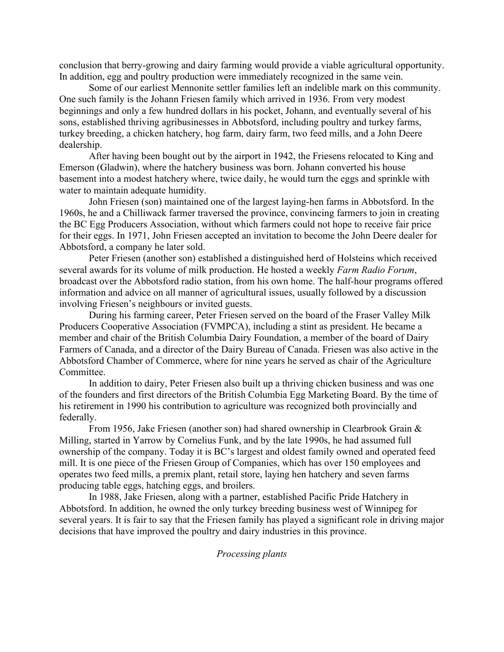conclusion that berry-growing and dairy farming would provide a viable agricultural opportunity. In addition, egg and poultry production were immediately recognized in the same vein.

Some of our earliest Mennonite settler families left an indelible mark on this community. One such family is the Johann Friesen family which arrived in 1936. From very modest beginnings and only a few hundred dollars in his pocket, Johann, and eventually several of his sons, established thriving agribusinesses in Abbotsford, including poultry and turkey farms, turkey breeding, a chicken hatchery, hog farm, dairy farm, two feed mills, and a John Deere dealership.

After having been bought out by the airport in 1942, the Friesens relocated to King and Emerson (Gladwin), where the hatchery business was born. Johann converted his house basement into a modest hatchery where, twice daily, he would turn the eggs and sprinkle with water to maintain adequate humidity.

John Friesen (son) maintained one of the largest laying-hen farms in Abbotsford. In the 1960s, he and a Chilliwack farmer traversed the province, convincing farmers to join in creating the BC Egg Producers Association, without which farmers could not hope to receive fair price for their eggs. In 1971, John Friesen accepted an invitation to become the John Deere dealer for Abbotsford, a company he later sold.

Peter Friesen (another son) established a distinguished herd of Holsteins which received several awards for its volume of milk production. He hosted a weekly *Farm Radio Forum*, broadcast over the Abbotsford radio station, from his own home. The half-hour programs offered information and advice on all manner of agricultural issues, usually followed by a discussion involving Friesen's neighbours or invited guests.

During his farming career, Peter Friesen served on the board of the Fraser Valley Milk Producers Cooperative Association (FVMPCA), including a stint as president. He became a member and chair of the British Columbia Dairy Foundation, a member of the board of Dairy Farmers of Canada, and a director of the Dairy Bureau of Canada. Friesen was also active in the Abbotsford Chamber of Commerce, where for nine years he served as chair of the Agriculture Committee.

In addition to dairy, Peter Friesen also built up a thriving chicken business and was one of the founders and first directors of the British Columbia Egg Marketing Board. By the time of his retirement in 1990 his contribution to agriculture was recognized both provincially and federally.

From 1956, Jake Friesen (another son) had shared ownership in Clearbrook Grain & Milling, started in Yarrow by Cornelius Funk, and by the late 1990s, he had assumed full ownership of the company. Today it is BC's largest and oldest family owned and operated feed mill. It is one piece of the Friesen Group of Companies, which has over 150 employees and operates two feed mills, a premix plant, retail store, laying hen hatchery and seven farms producing table eggs, hatching eggs, and broilers.

In 1988, Jake Friesen, along with a partner, established Pacific Pride Hatchery in Abbotsford. In addition, he owned the only turkey breeding business west of Winnipeg for several years. It is fair to say that the Friesen family has played a significant role in driving major decisions that have improved the poultry and dairy industries in this province.

*Processing plants*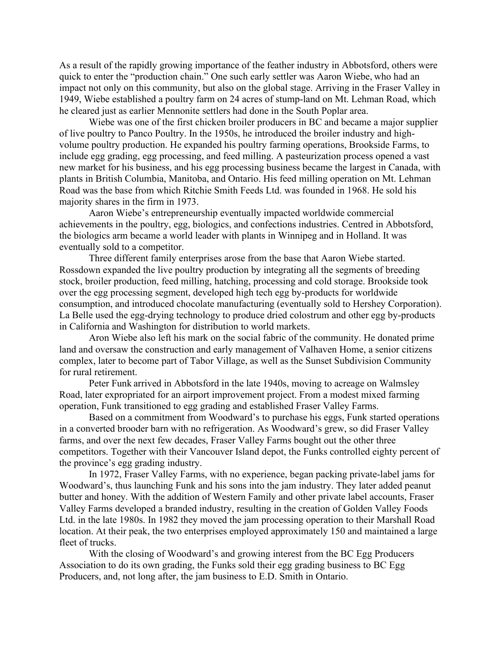As a result of the rapidly growing importance of the feather industry in Abbotsford, others were quick to enter the "production chain." One such early settler was Aaron Wiebe, who had an impact not only on this community, but also on the global stage. Arriving in the Fraser Valley in 1949, Wiebe established a poultry farm on 24 acres of stump-land on Mt. Lehman Road, which he cleared just as earlier Mennonite settlers had done in the South Poplar area.

Wiebe was one of the first chicken broiler producers in BC and became a major supplier of live poultry to Panco Poultry. In the 1950s, he introduced the broiler industry and highvolume poultry production. He expanded his poultry farming operations, Brookside Farms, to include egg grading, egg processing, and feed milling. A pasteurization process opened a vast new market for his business, and his egg processing business became the largest in Canada, with plants in British Columbia, Manitoba, and Ontario. His feed milling operation on Mt. Lehman Road was the base from which Ritchie Smith Feeds Ltd. was founded in 1968. He sold his majority shares in the firm in 1973.

Aaron Wiebe's entrepreneurship eventually impacted worldwide commercial achievements in the poultry, egg, biologics, and confections industries. Centred in Abbotsford, the biologics arm became a world leader with plants in Winnipeg and in Holland. It was eventually sold to a competitor.

Three different family enterprises arose from the base that Aaron Wiebe started. Rossdown expanded the live poultry production by integrating all the segments of breeding stock, broiler production, feed milling, hatching, processing and cold storage. Brookside took over the egg processing segment, developed high tech egg by-products for worldwide consumption, and introduced chocolate manufacturing (eventually sold to Hershey Corporation). La Belle used the egg-drying technology to produce dried colostrum and other egg by-products in California and Washington for distribution to world markets.

Aron Wiebe also left his mark on the social fabric of the community. He donated prime land and oversaw the construction and early management of Valhaven Home, a senior citizens complex, later to become part of Tabor Village, as well as the Sunset Subdivision Community for rural retirement.

Peter Funk arrived in Abbotsford in the late 1940s, moving to acreage on Walmsley Road, later expropriated for an airport improvement project. From a modest mixed farming operation, Funk transitioned to egg grading and established Fraser Valley Farms.

Based on a commitment from Woodward's to purchase his eggs, Funk started operations in a converted brooder barn with no refrigeration. As Woodward's grew, so did Fraser Valley farms, and over the next few decades, Fraser Valley Farms bought out the other three competitors. Together with their Vancouver Island depot, the Funks controlled eighty percent of the province's egg grading industry.

In 1972, Fraser Valley Farms, with no experience, began packing private-label jams for Woodward's, thus launching Funk and his sons into the jam industry. They later added peanut butter and honey. With the addition of Western Family and other private label accounts, Fraser Valley Farms developed a branded industry, resulting in the creation of Golden Valley Foods Ltd. in the late 1980s. In 1982 they moved the jam processing operation to their Marshall Road location. At their peak, the two enterprises employed approximately 150 and maintained a large fleet of trucks.

With the closing of Woodward's and growing interest from the BC Egg Producers Association to do its own grading, the Funks sold their egg grading business to BC Egg Producers, and, not long after, the jam business to E.D. Smith in Ontario.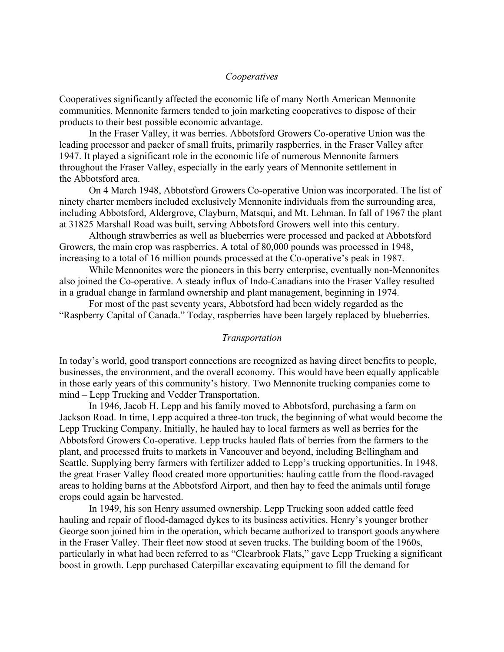# *Cooperatives*

Cooperatives significantly affected the economic life of many North American Mennonite communities. Mennonite farmers tended to join marketing cooperatives to dispose of their products to their best possible economic advantage.

In the Fraser Valley, it was berries. Abbotsford Growers Co-operative Union was the leading processor and packer of small fruits, primarily raspberries, in the Fraser Valley after 1947. It played a significant role in the economic life of numerous Mennonite farmers throughout the Fraser Valley, especially in the early years of Mennonite settlement in the Abbotsford area.

On 4 March 1948, Abbotsford Growers Co-operative Union was incorporated. The list of ninety charter members included exclusively Mennonite individuals from the surrounding area, including Abbotsford, Aldergrove, Clayburn, Matsqui, and Mt. Lehman. In fall of 1967 the plant at 31825 Marshall Road was built, serving Abbotsford Growers well into this century.

Although strawberries as well as blueberries were processed and packed at Abbotsford Growers, the main crop was raspberries. A total of 80,000 pounds was processed in 1948, increasing to a total of 16 million pounds processed at the Co-operative's peak in 1987.

While Mennonites were the pioneers in this berry enterprise, eventually non-Mennonites also joined the Co-operative. A steady influx of Indo-Canadians into the Fraser Valley resulted in a gradual change in farmland ownership and plant management, beginning in 1974.

For most of the past seventy years, Abbotsford had been widely regarded as the "Raspberry Capital of Canada." Today, raspberries have been largely replaced by blueberries.

#### *Transportation*

In today's world, good transport connections are recognized as having direct benefits to people, businesses, the environment, and the overall economy. This would have been equally applicable in those early years of this community's history. Two Mennonite trucking companies come to mind – Lepp Trucking and Vedder Transportation.

In 1946, Jacob H. Lepp and his family moved to Abbotsford, purchasing a farm on Jackson Road. In time, Lepp acquired a three-ton truck, the beginning of what would become the Lepp Trucking Company. Initially, he hauled hay to local farmers as well as berries for the Abbotsford Growers Co-operative. Lepp trucks hauled flats of berries from the farmers to the plant, and processed fruits to markets in [Vancouver](https://gameo.org/index.php?title=Vancouver_(British_Columbia,_Canada)) and beyond, including Bellingham and Seattle. Supplying berry farmers with fertilizer added to Lepp's trucking opportunities. In 1948, the great Fraser Valley flood created more opportunities: hauling cattle from the flood-ravaged areas to holding barns at the Abbotsford Airport, and then hay to feed the animals until forage crops could again be harvested.

In 1949, his son Henry assumed ownership. Lepp Trucking soon added cattle feed hauling and repair of flood-damaged dykes to its business activities. Henry's younger brother George soon joined him in the operation, which became authorized to transport goods anywhere in the Fraser Valley. Their fleet now stood at seven trucks. The building boom of the 1960s, particularly in what had been referred to as "Clearbrook Flats," gave Lepp Trucking a significant boost in growth. Lepp purchased Caterpillar excavating equipment to fill the demand for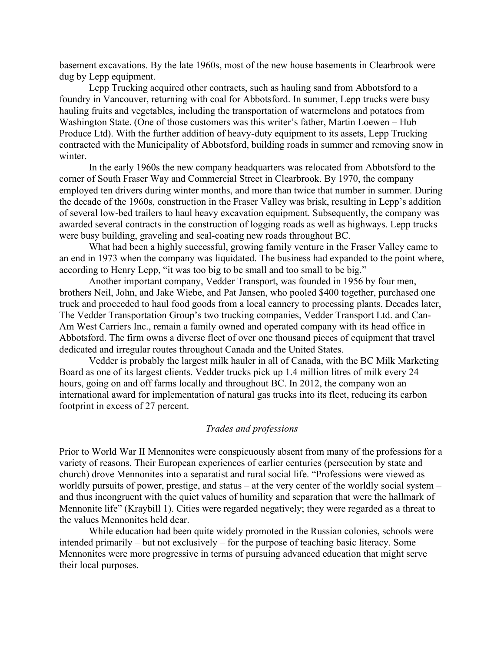basement excavations. By the late 1960s, most of the new house basements in Clearbrook were dug by Lepp equipment.

Lepp Trucking acquired other contracts, such as hauling sand from Abbotsford to a foundry in Vancouver, returning with coal for Abbotsford. In summer, Lepp trucks were busy hauling fruits and vegetables, including the transportation of watermelons and potatoes from Washington State. (One of those customers was this writer's father, Martin Loewen – Hub Produce Ltd). With the further addition of heavy-duty equipment to its assets, Lepp Trucking contracted with the Municipality of Abbotsford, building roads in summer and removing snow in winter.

In the early 1960s the new company headquarters was relocated from Abbotsford to the corner of South Fraser Way and Commercial Street in Clearbrook. By 1970, the company employed ten drivers during winter months, and more than twice that number in summer. During the decade of the 1960s, construction in the Fraser Valley was brisk, resulting in Lepp's addition of several low-bed trailers to haul heavy excavation equipment. Subsequently, the company was awarded several contracts in the construction of logging roads as well as highways. Lepp trucks were busy building, graveling and seal-coating new roads throughout BC.

What had been a highly successful, growing family venture in the Fraser Valley came to an end in 1973 when the company was liquidated. The business had expanded to the point where, according to Henry Lepp, "it was too big to be small and too small to be big."

Another important company, Vedder Transport, was founded in 1956 by four men, brothers Neil, John, and Jake Wiebe, and Pat Jansen, who pooled \$400 together, purchased one truck and proceeded to haul food goods from a local cannery to processing plants. Decades later, The Vedder Transportation Group's two trucking companies, Vedder Transport Ltd. and Can-Am West Carriers Inc., remain a family owned and operated company with its head office in Abbotsford. The firm owns a diverse fleet of over one thousand pieces of equipment that travel dedicated and irregular routes throughout Canada and the United States.

Vedder is probably the largest milk hauler in all of Canada, with the BC Milk Marketing Board as one of its largest clients. Vedder trucks pick up 1.4 million litres of milk every 24 hours, going on and off farms locally and throughout BC. In 2012, the company won an international award for implementation of natural gas trucks into its fleet, reducing its carbon footprint in excess of 27 percent.

#### *Trades and professions*

Prior to World War II Mennonites were conspicuously absent from many of the professions for a variety of reasons. Their European experiences of earlier centuries (persecution by state and church) drove Mennonites into a separatist and rural social life. "Professions were viewed as worldly pursuits of power, prestige, and status – at the very center of the worldly social system – and thus incongruent with the quiet values of humility and separation that were the hallmark of Mennonite life" (Kraybill 1). Cities were regarded negatively; they were regarded as a threat to the values Mennonites held dear.

While education had been quite widely promoted in the Russian colonies, schools were intended primarily – but not exclusively – for the purpose of teaching basic literacy. Some Mennonites were more progressive in terms of pursuing advanced education that might serve their local purposes.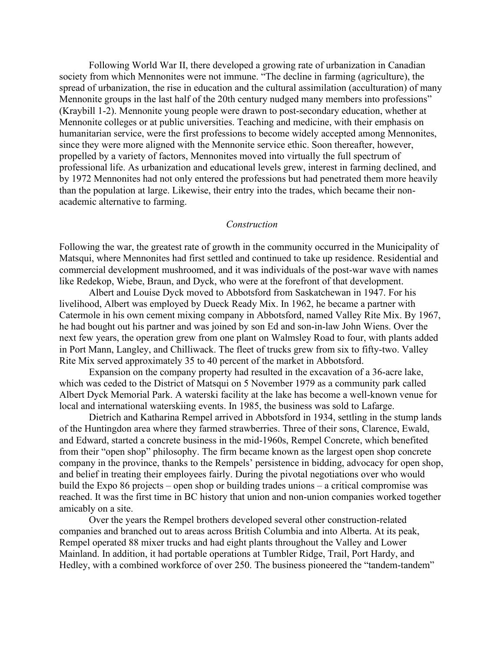Following World War II, there developed a growing rate of urbanization in Canadian society from which Mennonites were not immune. "The decline in farming (agriculture), the spread of urbanization, the rise in education and the cultural assimilation (acculturation) of many Mennonite groups in the last half of the 20th century nudged many members into professions" (Kraybill 1-2). Mennonite young people were drawn to post-secondary education, whether at Mennonite colleges or at public universities. Teaching and medicine, with their emphasis on humanitarian service, were the first professions to become widely accepted among Mennonites, since they were more aligned with the Mennonite service ethic. Soon thereafter, however, propelled by a variety of factors, Mennonites moved into virtually the full spectrum of professional life. As urbanization and educational levels grew, interest in farming declined, and by 1972 Mennonites had not only entered the professions but had penetrated them more heavily than the population at large. Likewise, their entry into the trades, which became their nonacademic alternative to farming.

#### *Construction*

Following the war, the greatest rate of growth in the community occurred in the Municipality of Matsqui, where Mennonites had first settled and continued to take up residence. Residential and commercial development mushroomed, and it was individuals of the post-war wave with names like Redekop, Wiebe, Braun, and Dyck, who were at the forefront of that development.

Albert and Louise Dyck moved to Abbotsford from Saskatchewan in 1947. For his livelihood, Albert was employed by Dueck Ready Mix. In 1962, he became a partner with Catermole in his own cement mixing company in Abbotsford, named Valley Rite Mix. By 1967, he had bought out his partner and was joined by son Ed and son-in-law John Wiens. Over the next few years, the operation grew from one plant on Walmsley Road to four, with plants added in Port Mann, Langley, and Chilliwack. The fleet of trucks grew from six to fifty-two. Valley Rite Mix served approximately 35 to 40 percent of the market in Abbotsford.

Expansion on the company property had resulted in the excavation of a 36-acre lake, which was ceded to the District of Matsqui on 5 November 1979 as a community park called Albert Dyck Memorial Park. A waterski facility at the lake has become a well-known venue for local and international waterskiing events. In 1985, the business was sold to Lafarge.

Dietrich and Katharina Rempel arrived in Abbotsford in 1934, settling in the stump lands of the Huntingdon area where they farmed strawberries. Three of their sons, Clarence, Ewald, and Edward, started a concrete business in the mid-1960s, Rempel Concrete, which benefited from their "open shop" philosophy. The firm became known as the largest open shop concrete company in the province, thanks to the Rempels' persistence in bidding, advocacy for open shop, and belief in treating their employees fairly. During the pivotal negotiations over who would build the Expo 86 projects – open shop or building trades unions – a critical compromise was reached. It was the first time in BC history that union and non-union companies worked together amicably on a site.

Over the years the Rempel brothers developed several other construction-related companies and branched out to areas across British Columbia and into Alberta. At its peak, Rempel operated 88 mixer trucks and had eight plants throughout the Valley and Lower Mainland. In addition, it had portable operations at Tumbler Ridge, Trail, Port Hardy, and Hedley, with a combined workforce of over 250. The business pioneered the "tandem-tandem"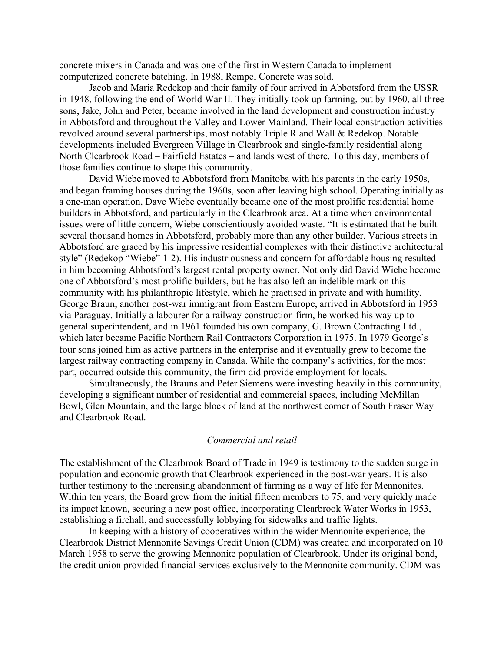concrete mixers in Canada and was one of the first in Western Canada to implement computerized concrete batching. In 1988, Rempel Concrete was sold.

Jacob and Maria Redekop and their family of four arrived in Abbotsford from the USSR in 1948, following the end of World War II. They initially took up farming, but by 1960, all three sons, Jake, John and Peter, became involved in the land development and construction industry in Abbotsford and throughout the Valley and Lower Mainland. Their local construction activities revolved around several partnerships, most notably Triple R and Wall & Redekop. Notable developments included Evergreen Village in Clearbrook and single-family residential along North Clearbrook Road – Fairfield Estates – and lands west of there. To this day, members of those families continue to shape this community.

David Wiebe moved to Abbotsford from Manitoba with his parents in the early 1950s, and began framing houses during the 1960s, soon after leaving high school. Operating initially as a one-man operation, Dave Wiebe eventually became one of the most prolific residential home builders in Abbotsford, and particularly in the Clearbrook area. At a time when environmental issues were of little concern, Wiebe conscientiously avoided waste. "It is estimated that he built several thousand homes in Abbotsford, probably more than any other builder. Various streets in Abbotsford are graced by his impressive residential complexes with their distinctive architectural style" (Redekop "Wiebe" 1-2). His industriousness and concern for affordable housing resulted in him becoming Abbotsford's largest rental property owner. Not only did David Wiebe become one of Abbotsford's most prolific builders, but he has also left an indelible mark on this community with his philanthropic lifestyle, which he practised in private and with humility. George Braun, another post-war immigrant from Eastern Europe, arrived in Abbotsford in 1953 via Paraguay. Initially a labourer for a railway construction firm, he worked his way up to general superintendent, and in 1961 founded his own company, G. Brown Contracting Ltd., which later became Pacific Northern Rail Contractors Corporation in 1975. In 1979 George's four sons joined him as active partners in the enterprise and it eventually grew to become the largest railway contracting company in Canada. While the company's activities, for the most part, occurred outside this community, the firm did provide employment for locals.

Simultaneously, the Brauns and Peter Siemens were investing heavily in this community, developing a significant number of residential and commercial spaces, including McMillan Bowl, Glen Mountain, and the large block of land at the northwest corner of South Fraser Way and Clearbrook Road.

### *Commercial and retail*

The establishment of the Clearbrook Board of Trade in 1949 is testimony to the sudden surge in population and economic growth that Clearbrook experienced in the post-war years. It is also further testimony to the increasing abandonment of farming as a way of life for Mennonites. Within ten years, the Board grew from the initial fifteen members to 75, and very quickly made its impact known, securing a new post office, incorporating Clearbrook Water Works in 1953, establishing a firehall, and successfully lobbying for sidewalks and traffic lights.

In keeping with a history of cooperatives within the wider Mennonite experience, the Clearbrook District Mennonite Savings Credit Union (CDM) was created and incorporated on 10 March 1958 to serve the growing Mennonite population of Clearbrook. Under its original bond, the credit union provided financial services exclusively to the Mennonite community. CDM was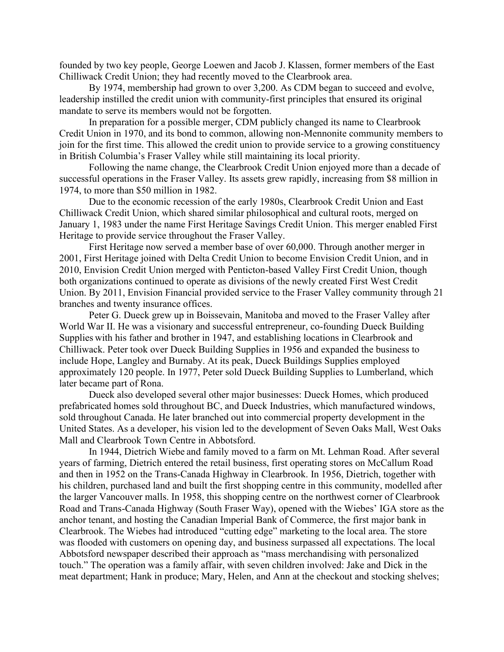founded by two key people, George Loewen and Jacob J. Klassen, former members of the East Chilliwack Credit Union; they had recently moved to the Clearbrook area.

By 1974, membership had grown to over 3,200. As CDM began to succeed and evolve, leadership instilled the credit union with community-first principles that ensured its original mandate to serve its members would not be forgotten.

In preparation for a possible merger, CDM publicly changed its name to Clearbrook Credit Union in 1970, and its bond to common, allowing non-Mennonite community members to join for the first time. This allowed the credit union to provide service to a growing constituency in British Columbia's Fraser Valley while still maintaining its local priority.

Following the name change, the Clearbrook Credit Union enjoyed more than a decade of successful operations in the Fraser Valley. Its assets grew rapidly, increasing from \$8 million in 1974, to more than \$50 million in 1982.

Due to the economic recession of the early 1980s, Clearbrook Credit Union and East Chilliwack Credit Union, which shared similar philosophical and cultural roots, merged on January 1, 1983 under the name First Heritage Savings Credit Union. This merger enabled First Heritage to provide service throughout the Fraser Valley.

First Heritage now served a member base of over 60,000. Through another merger in 2001, First Heritage joined with Delta Credit Union to become Envision Credit Union, and in 2010, Envision Credit Union merged with Penticton-based Valley First Credit Union, though both organizations continued to operate as divisions of the newly created First West Credit Union. By 2011, Envision Financial provided service to the Fraser Valley community through 21 branches and twenty insurance offices.

Peter G. Dueck grew up in Boissevain, Manitoba and moved to the Fraser Valley after World War II. He was a visionary and successful entrepreneur, co-founding Dueck Building Supplies with his father and brother in 1947, and establishing locations in Clearbrook and Chilliwack. Peter took over Dueck Building Supplies in 1956 and expanded the business to include Hope, Langley and Burnaby. At its peak, Dueck Buildings Supplies employed approximately 120 people. In 1977, Peter sold Dueck Building Supplies to Lumberland, which later became part of Rona.

Dueck also developed several other major businesses: Dueck Homes, which produced prefabricated homes sold throughout BC, and Dueck Industries, which manufactured windows, sold throughout Canada. He later branched out into commercial property development in the United States. As a developer, his vision led to the development of Seven Oaks Mall, West Oaks Mall and Clearbrook Town Centre in Abbotsford.

In 1944, Dietrich Wiebe and family moved to a farm on Mt. Lehman Road. After several years of farming, Dietrich entered the retail business, first operating stores on McCallum Road and then in 1952 on the Trans-Canada Highway in Clearbrook. In 1956, Dietrich, together with his children, purchased land and built the first shopping centre in this community, modelled after the larger Vancouver malls. In 1958, this shopping centre on the northwest corner of Clearbrook Road and Trans-Canada Highway (South Fraser Way), opened with the Wiebes' IGA store as the anchor tenant, and hosting the Canadian Imperial Bank of Commerce, the first major bank in Clearbrook. The Wiebes had introduced "cutting edge" marketing to the local area. The store was flooded with customers on opening day, and business surpassed all expectations. The local Abbotsford newspaper described their approach as "mass merchandising with personalized touch." The operation was a family affair, with seven children involved: Jake and Dick in the meat department; Hank in produce; Mary, Helen, and Ann at the checkout and stocking shelves;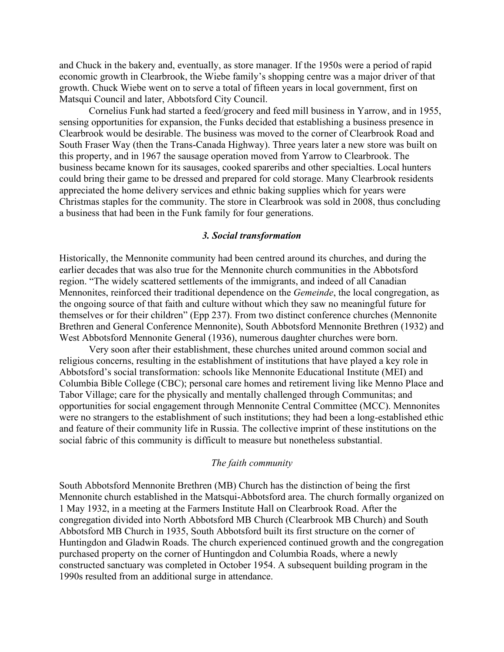and Chuck in the bakery and, eventually, as store manager. If the 1950s were a period of rapid economic growth in Clearbrook, the Wiebe family's shopping centre was a major driver of that growth. Chuck Wiebe went on to serve a total of fifteen years in local government, first on Matsqui Council and later, Abbotsford City Council.

Cornelius Funk had started a feed/grocery and feed mill business in Yarrow, and in 1955, sensing opportunities for expansion, the Funks decided that establishing a business presence in Clearbrook would be desirable. The business was moved to the corner of Clearbrook Road and South Fraser Way (then the Trans-Canada Highway). Three years later a new store was built on this property, and in 1967 the sausage operation moved from Yarrow to Clearbrook. The business became known for its sausages, cooked spareribs and other specialties. Local hunters could bring their game to be dressed and prepared for cold storage. Many Clearbrook residents appreciated the home delivery services and ethnic baking supplies which for years were Christmas staples for the community. The store in Clearbrook was sold in 2008, thus concluding a business that had been in the Funk family for four generations.

#### *3. Social transformation*

Historically, the Mennonite community had been centred around its churches, and during the earlier decades that was also true for the Mennonite church communities in the Abbotsford region. "The widely scattered settlements of the immigrants, and indeed of all Canadian Mennonites, reinforced their traditional dependence on the *Gemeinde*, the local congregation, as the ongoing source of that faith and culture without which they saw no meaningful future for themselves or for their children" (Epp 237). From two distinct conference churches (Mennonite Brethren and General Conference Mennonite), South Abbotsford Mennonite Brethren (1932) and West Abbotsford Mennonite General (1936), numerous daughter churches were born.

Very soon after their establishment, these churches united around common social and religious concerns, resulting in the establishment of institutions that have played a key role in Abbotsford's social transformation: schools like Mennonite Educational Institute (MEI) and Columbia Bible College (CBC); personal care homes and retirement living like Menno Place and Tabor Village; care for the physically and mentally challenged through Communitas; and opportunities for social engagement through Mennonite Central Committee (MCC). Mennonites were no strangers to the establishment of such institutions; they had been a long-established ethic and feature of their community life in Russia. The collective imprint of these institutions on the social fabric of this community is difficult to measure but nonetheless substantial.

## *The faith community*

South Abbotsford Mennonite Brethren (MB) Church has the distinction of being the first Mennonite church established in the Matsqui-Abbotsford area. The church formally organized on 1 May 1932, in a meeting at the Farmers Institute Hall on Clearbrook Road. After the congregation divided into North Abbotsford MB Church (Clearbrook MB Church) and South Abbotsford MB Church in 1935, South Abbotsford built its first structure on the corner of Huntingdon and Gladwin Roads. The church experienced continued growth and the congregation purchased property on the corner of Huntingdon and Columbia Roads, where a newly constructed sanctuary was completed in October 1954. A subsequent building program in the 1990s resulted from an additional surge in attendance.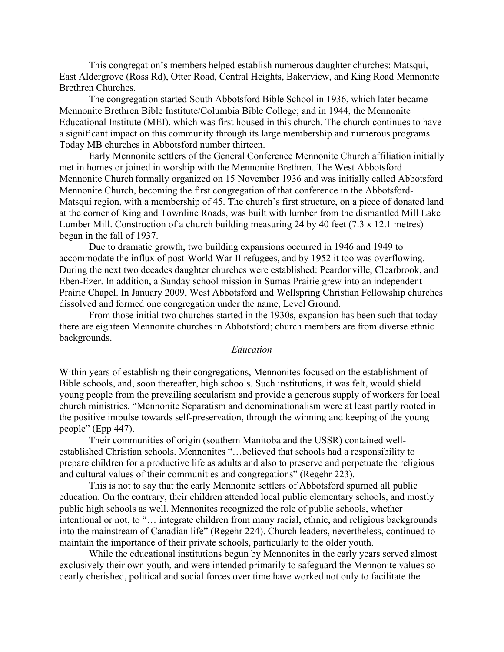This congregation's members helped establish numerous daughter churches: Matsqui, East Aldergrove (Ross Rd), Otter Road, Central Heights, Bakerview, and King Road Mennonite Brethren Churches.

The congregation started South Abbotsford Bible School in 1936, which later became Mennonite Brethren Bible Institute/Columbia Bible College; and in 1944, the Mennonite Educational Institute (MEI), which was first housed in this church. The church continues to have a significant impact on this community through its large membership and numerous programs. Today MB churches in Abbotsford number thirteen.

Early Mennonite settlers of the General Conference Mennonite Church affiliation initially met in homes or joined in worship with the Mennonite Brethren. The West Abbotsford Mennonite Church formally organized on 15 November 1936 and was initially called Abbotsford Mennonite Church, becoming the first congregation of that conference in the Abbotsford-Matsqui region, with a membership of 45. The church's first structure, on a piece of donated land at the corner of King and Townline Roads, was built with lumber from the dismantled Mill Lake Lumber Mill. Construction of a church building measuring 24 by 40 feet (7.3 x 12.1 metres) began in the fall of 1937.

Due to dramatic growth, two building expansions occurred in 1946 and 1949 to accommodate the influx of post-World War II refugees, and by 1952 it too was overflowing. During the next two decades daughter churches were established: Peardonville, Clearbrook, and Eben-Ezer. In addition, a Sunday school mission in Sumas Prairie grew into an independent Prairie Chapel. In January 2009, West Abbotsford and Wellspring Christian Fellowship churches dissolved and formed one congregation under the name, Level Ground.

From those initial two churches started in the 1930s, expansion has been such that today there are eighteen Mennonite churches in Abbotsford; church members are from diverse ethnic backgrounds.

## *Education*

Within years of establishing their congregations, Mennonites focused on the establishment of Bible schools, and, soon thereafter, high schools. Such institutions, it was felt, would shield young people from the prevailing secularism and provide a generous supply of workers for local church ministries. "Mennonite Separatism and denominationalism were at least partly rooted in the positive impulse towards self-preservation, through the winning and keeping of the young people" (Epp 447).

Their communities of origin (southern Manitoba and the USSR) contained wellestablished Christian schools. Mennonites "…believed that schools had a responsibility to prepare children for a productive life as adults and also to preserve and perpetuate the religious and cultural values of their communities and congregations" (Regehr 223).

This is not to say that the early Mennonite settlers of Abbotsford spurned all public education. On the contrary, their children attended local public elementary schools, and mostly public high schools as well. Mennonites recognized the role of public schools, whether intentional or not, to "… integrate children from many racial, ethnic, and religious backgrounds into the mainstream of Canadian life" (Regehr 224). Church leaders, nevertheless, continued to maintain the importance of their private schools, particularly to the older youth.

While the educational institutions begun by Mennonites in the early years served almost exclusively their own youth, and were intended primarily to safeguard the Mennonite values so dearly cherished, political and social forces over time have worked not only to facilitate the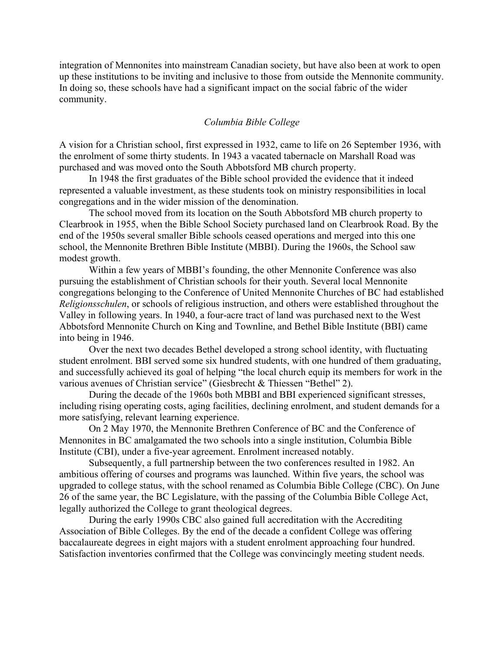integration of Mennonites into mainstream Canadian society, but have also been at work to open up these institutions to be inviting and inclusive to those from outside the Mennonite community. In doing so, these schools have had a significant impact on the social fabric of the wider community.

## *Columbia Bible College*

A vision for a Christian school, first expressed in 1932, came to life on 26 September 1936, with the enrolment of some thirty students. In 1943 a vacated tabernacle on Marshall Road was purchased and was moved onto the South Abbotsford MB church property.

In 1948 the first graduates of the Bible school provided the evidence that it indeed represented a valuable investment, as these students took on ministry responsibilities in local congregations and in the wider mission of the denomination.

The school moved from its location on the South Abbotsford MB church property to Clearbrook in 1955, when the Bible School Society purchased land on Clearbrook Road. By the end of the 1950s several smaller Bible schools ceased operations and merged into this one school, the Mennonite Brethren Bible Institute (MBBI). During the 1960s, the School saw modest growth.

Within a few years of MBBI's founding, the other Mennonite Conference was also pursuing the establishment of Christian schools for their youth. Several local Mennonite congregations belonging to the Conference of United Mennonite Churches of BC had established *Religionsschulen*, or schools of religious instruction, and others were established throughout the Valley in following years. In 1940, a four-acre tract of land was purchased next to the West Abbotsford Mennonite Church on King and Townline, and Bethel Bible Institute (BBI) came into being in 1946.

Over the next two decades Bethel developed a strong school identity, with fluctuating student enrolment. BBI served some six hundred students, with one hundred of them graduating, and successfully achieved its goal of helping "the local church equip its members for work in the various avenues of Christian service" (Giesbrecht & Thiessen "Bethel" 2).

During the decade of the 1960s both MBBI and BBI experienced significant stresses, including rising operating costs, aging facilities, declining enrolment, and student demands for a more satisfying, relevant learning experience.

On 2 May 1970, the Mennonite Brethren Conference of BC and the Conference of Mennonites in BC amalgamated the two schools into a single institution, Columbia Bible Institute (CBI), under a five-year agreement. Enrolment increased notably.

Subsequently, a full partnership between the two conferences resulted in 1982. An ambitious offering of courses and programs was launched. Within five years, the school was upgraded to college status, with the school renamed as Columbia Bible College (CBC). On June 26 of the same year, the BC Legislature, with the passing of the Columbia Bible College Act, legally authorized the College to grant theological degrees.

During the early 1990s CBC also gained full accreditation with the Accrediting Association of Bible Colleges. By the end of the decade a confident College was offering baccalaureate degrees in eight majors with a student enrolment approaching four hundred. Satisfaction inventories confirmed that the College was convincingly meeting student needs.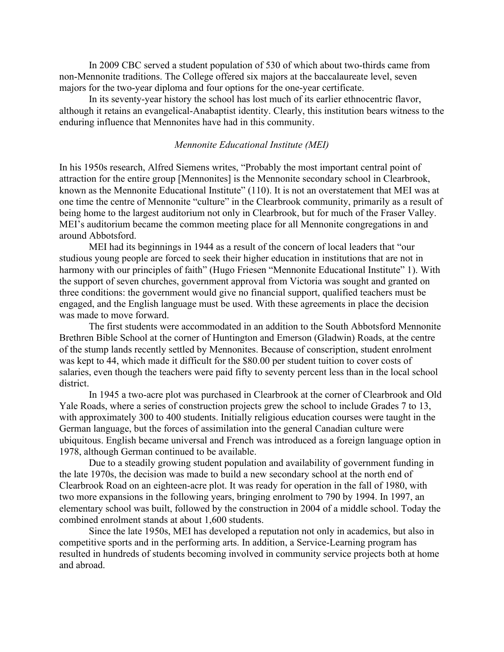In 2009 CBC served a student population of 530 of which about two-thirds came from non-Mennonite traditions. The College offered six majors at the baccalaureate level, seven majors for the two-year diploma and four options for the one-year certificate.

In its seventy-year history the school has lost much of its earlier ethnocentric flavor, although it retains an evangelical-Anabaptist identity. Clearly, this institution bears witness to the enduring influence that Mennonites have had in this community.

## *Mennonite Educational Institute (MEI)*

In his 1950s research, Alfred Siemens writes, "Probably the most important central point of attraction for the entire group [Mennonites] is the Mennonite secondary school in Clearbrook, known as the Mennonite Educational Institute" (110). It is not an overstatement that MEI was at one time the centre of Mennonite "culture" in the Clearbrook community, primarily as a result of being home to the largest auditorium not only in Clearbrook, but for much of the Fraser Valley. MEI's auditorium became the common meeting place for all Mennonite congregations in and around Abbotsford.

MEI had its beginnings in 1944 as a result of the concern of local leaders that "our studious young people are forced to seek their higher education in institutions that are not in harmony with our principles of faith" (Hugo Friesen "Mennonite Educational Institute" 1). With the support of seven churches, government approval from Victoria was sought and granted on three conditions: the government would give no financial support, qualified teachers must be engaged, and the English language must be used. With these agreements in place the decision was made to move forward.

The first students were accommodated in an addition to the South Abbotsford Mennonite Brethren Bible School at the corner of Huntington and Emerson (Gladwin) Roads, at the centre of the stump lands recently settled by Mennonites. Because of conscription, student enrolment was kept to 44, which made it difficult for the \$80.00 per student tuition to cover costs of salaries, even though the teachers were paid fifty to seventy percent less than in the local school district.

In 1945 a two-acre plot was purchased in Clearbrook at the corner of Clearbrook and Old Yale Roads, where a series of construction projects grew the school to include Grades 7 to 13, with approximately 300 to 400 students. Initially religious education courses were taught in the German language, but the forces of assimilation into the general Canadian culture were ubiquitous. English became universal and French was introduced as a foreign language option in 1978, although German continued to be available.

Due to a steadily growing student population and availability of government funding in the late 1970s, the decision was made to build a new secondary school at the north end of Clearbrook Road on an eighteen-acre plot. It was ready for operation in the fall of 1980, with two more expansions in the following years, bringing enrolment to 790 by 1994. In 1997, an elementary school was built, followed by the construction in 2004 of a middle school. Today the combined enrolment stands at about 1,600 students.

Since the late 1950s, MEI has developed a reputation not only in academics, but also in competitive sports and in the performing arts. In addition, a Service-Learning program has resulted in hundreds of students becoming involved in community service projects both at home and abroad.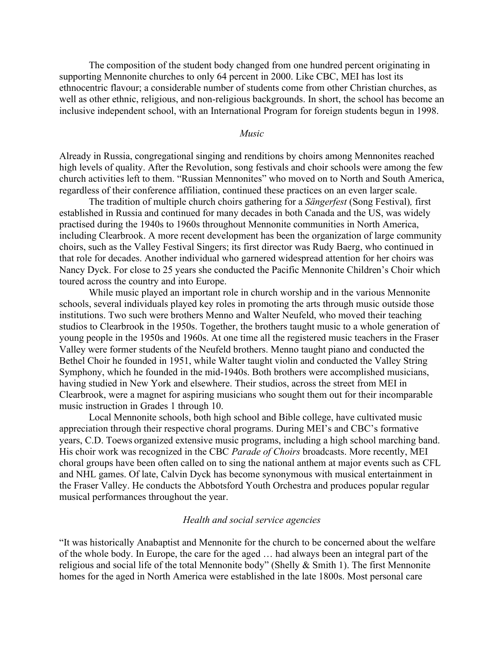The composition of the student body changed from one hundred percent originating in supporting Mennonite churches to only 64 percent in 2000. Like CBC, MEI has lost its ethnocentric flavour; a considerable number of students come from other Christian churches, as well as other ethnic, religious, and non-religious backgrounds. In short, the school has become an inclusive independent school, with an International Program for foreign students begun in 1998.

### *Music*

Already in Russia, congregational singing and renditions by choirs among Mennonites reached high levels of quality. After the Revolution, song festivals and choir schools were among the few church activities left to them. "Russian Mennonites" who moved on to North and South America, regardless of their conference affiliation, continued these practices on an even larger scale.

The tradition of multiple church choirs gathering for a *Sängerfest* (Song Festival)*,* first established in Russia and continued for many decades in both Canada and the US, was widely practised during the 1940s to 1960s throughout Mennonite communities in North America, including Clearbrook. A more recent development has been the organization of large community choirs, such as the Valley Festival Singers; its first director was Rudy Baerg, who continued in that role for decades. Another individual who garnered widespread attention for her choirs was Nancy Dyck. For close to 25 years she conducted the Pacific Mennonite Children's Choir which toured across the country and into Europe.

While music played an important role in church worship and in the various Mennonite schools, several individuals played key roles in promoting the arts through music outside those institutions. Two such were brothers Menno and Walter Neufeld, who moved their teaching studios to Clearbrook in the 1950s. Together, the brothers taught music to a whole generation of young people in the 1950s and 1960s. At one time all the registered music teachers in the Fraser Valley were former students of the Neufeld brothers. Menno taught piano and conducted the Bethel Choir he founded in 1951, while Walter taught violin and conducted the Valley String Symphony, which he founded in the mid-1940s. Both brothers were accomplished musicians, having studied in New York and elsewhere. Their studios, across the street from MEI in Clearbrook, were a magnet for aspiring musicians who sought them out for their incomparable music instruction in Grades 1 through 10.

Local Mennonite schools, both high school and Bible college, have cultivated music appreciation through their respective choral programs. During MEI's and CBC's formative years, C.D. Toews organized extensive music programs, including a high school marching band. His choir work was recognized in the CBC *Parade of Choirs* broadcasts. More recently, MEI choral groups have been often called on to sing the national anthem at major events such as CFL and NHL games. Of late, Calvin Dyck has become synonymous with musical entertainment in the Fraser Valley. He conducts the Abbotsford Youth Orchestra and produces popular regular musical performances throughout the year.

#### *Health and social service agencies*

"It was historically Anabaptist and Mennonite for the church to be concerned about the welfare of the whole body. In Europe, the care for the aged … had always been an integral part of the religious and social life of the total Mennonite body" (Shelly & Smith 1). The first Mennonite homes for the aged in North America were established in the late 1800s. Most personal care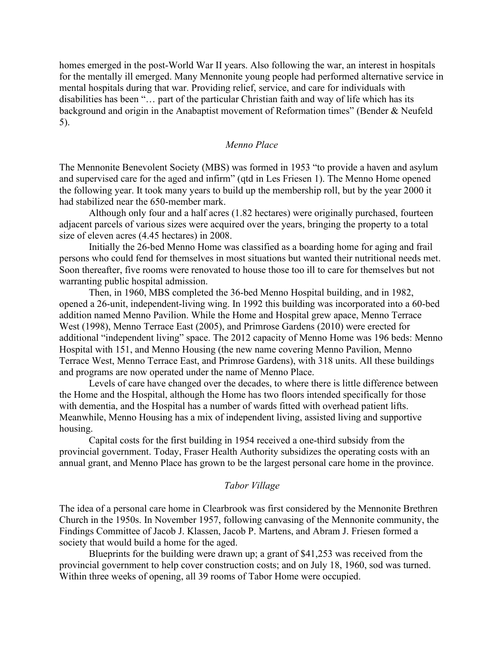homes emerged in the post-World War II years. Also following the war, an interest in hospitals for the mentally ill emerged. Many Mennonite young people had performed alternative service in mental hospitals during that war. Providing relief, service, and care for individuals with disabilities has been "… part of the particular Christian faith and way of life which has its background and origin in the Anabaptist movement of Reformation times" (Bender & Neufeld 5).

# *Menno Place*

The Mennonite Benevolent Society (MBS) was formed in 1953 "to provide a haven and asylum and supervised care for the aged and infirm" (qtd in Les Friesen 1). The Menno Home opened the following year. It took many years to build up the membership roll, but by the year 2000 it had stabilized near the 650-member mark.

Although only four and a half acres (1.82 hectares) were originally purchased, fourteen adjacent parcels of various sizes were acquired over the years, bringing the property to a total size of eleven acres (4.45 hectares) in 2008.

Initially the 26-bed Menno Home was classified as a boarding home for aging and frail persons who could fend for themselves in most situations but wanted their nutritional needs met. Soon thereafter, five rooms were renovated to house those too ill to care for themselves but not warranting public hospital admission.

Then, in 1960, MBS completed the 36-bed Menno Hospital building, and in 1982, opened a 26-unit, independent-living wing. In 1992 this building was incorporated into a 60-bed addition named Menno Pavilion. While the Home and Hospital grew apace, Menno Terrace West (1998), Menno Terrace East (2005), and Primrose Gardens (2010) were erected for additional "independent living" space. The 2012 capacity of Menno Home was 196 beds: Menno Hospital with 151, and Menno Housing (the new name covering Menno Pavilion, Menno Terrace West, Menno Terrace East, and Primrose Gardens), with 318 units. All these buildings and programs are now operated under the name of Menno Place.

Levels of care have changed over the decades, to where there is little difference between the Home and the Hospital, although the Home has two floors intended specifically for those with dementia, and the Hospital has a number of wards fitted with overhead patient lifts. Meanwhile, Menno Housing has a mix of independent living, assisted living and supportive housing.

Capital costs for the first building in 1954 received a one-third subsidy from the provincial government. Today, Fraser Health Authority subsidizes the operating costs with an annual grant, and Menno Place has grown to be the largest personal care home in the province.

#### *Tabor Village*

The idea of a personal care home in Clearbrook was first considered by the Mennonite Brethren Church in the 1950s. In November 1957, following canvasing of the Mennonite community, the Findings Committee of Jacob J. Klassen, Jacob P. Martens, and Abram J. Friesen formed a society that would build a home for the aged.

Blueprints for the building were drawn up; a grant of \$41,253 was received from the provincial government to help cover construction costs; and on July 18, 1960, sod was turned. Within three weeks of opening, all 39 rooms of Tabor Home were occupied.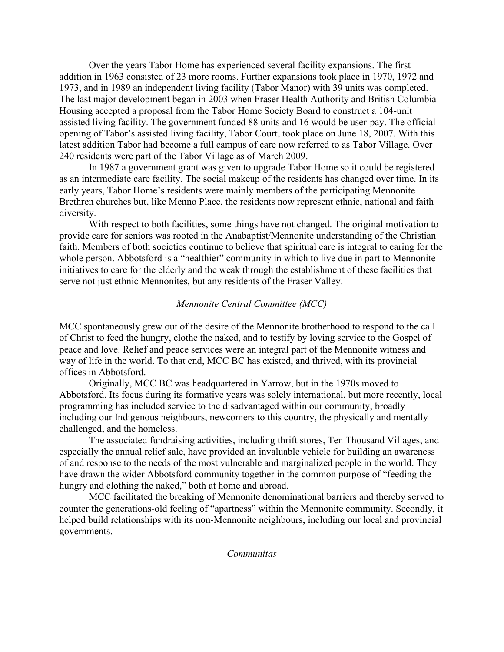Over the years Tabor Home has experienced several facility expansions. The first addition in 1963 consisted of 23 more rooms. Further expansions took place in 1970, 1972 and 1973, and in 1989 an independent living facility (Tabor Manor) with 39 units was completed. The last major development began in 2003 when Fraser Health Authority and British Columbia Housing accepted a proposal from the Tabor Home Society Board to construct a 104-unit assisted living facility. The government funded 88 units and 16 would be user-pay. The official opening of Tabor's assisted living facility, Tabor Court, took place on June 18, 2007. With this latest addition Tabor had become a full campus of care now referred to as Tabor Village. Over 240 residents were part of the Tabor Village as of March 2009.

In 1987 a government grant was given to upgrade Tabor Home so it could be registered as an intermediate care facility. The social makeup of the residents has changed over time. In its early years, Tabor Home's residents were mainly members of the participating Mennonite Brethren churches but, like Menno Place, the residents now represent ethnic, national and faith diversity.

With respect to both facilities, some things have not changed. The original motivation to provide care for seniors was rooted in the Anabaptist/Mennonite understanding of the Christian faith. Members of both societies continue to believe that spiritual care is integral to caring for the whole person. Abbotsford is a "healthier" community in which to live due in part to Mennonite initiatives to care for the elderly and the weak through the establishment of these facilities that serve not just ethnic Mennonites, but any residents of the Fraser Valley.

# *Mennonite Central Committee (MCC)*

MCC spontaneously grew out of the desire of the Mennonite brotherhood to respond to the call of Christ to feed the hungry, clothe the naked, and to testify by loving service to the Gospel of peace and love. Relief and peace services were an integral part of the Mennonite witness and way of life in the world. To that end, MCC BC has existed, and thrived, with its provincial offices in Abbotsford.

Originally, MCC BC was headquartered in Yarrow, but in the 1970s moved to Abbotsford. Its focus during its formative years was solely international, but more recently, local programming has included service to the disadvantaged within our community, broadly including our Indigenous neighbours, newcomers to this country, the physically and mentally challenged, and the homeless.

The associated fundraising activities, including thrift stores, Ten Thousand Villages, and especially the annual relief sale, have provided an invaluable vehicle for building an awareness of and response to the needs of the most vulnerable and marginalized people in the world. They have drawn the wider Abbotsford community together in the common purpose of "feeding the hungry and clothing the naked," both at home and abroad.

MCC facilitated the breaking of Mennonite denominational barriers and thereby served to counter the generations-old feeling of "apartness" within the Mennonite community. Secondly, it helped build relationships with its non-Mennonite neighbours, including our local and provincial governments.

*Communitas*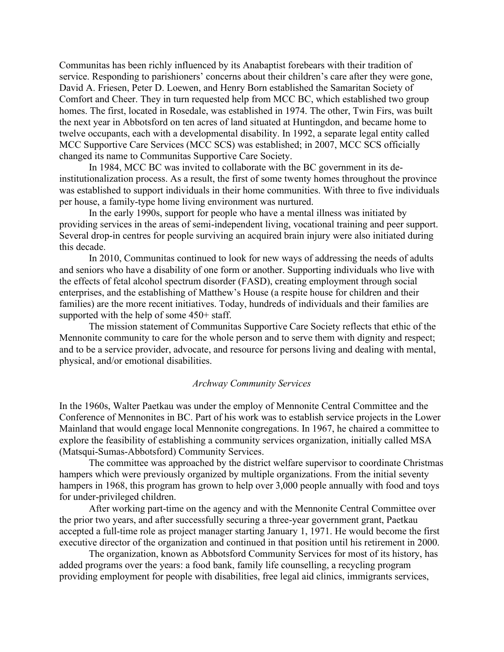Communitas has been richly influenced by its Anabaptist forebears with their tradition of service. Responding to parishioners' concerns about their children's care after they were gone, David A. Friesen, Peter D. Loewen, and Henry Born established the Samaritan Society of Comfort and Cheer. They in turn requested help from MCC BC, which established two group homes. The first, located in Rosedale, was established in 1974. The other, Twin Firs, was built the next year in Abbotsford on ten acres of land situated at Huntingdon, and became home to twelve occupants, each with a developmental disability. In 1992, a separate legal entity called MCC Supportive Care Services (MCC SCS) was established; in 2007, MCC SCS officially changed its name to Communitas Supportive Care Society.

In 1984, MCC BC was invited to collaborate with the BC government in its deinstitutionalization process. As a result, the first of some twenty homes throughout the province was established to support individuals in their home communities. With three to five individuals per house, a family-type home living environment was nurtured.

In the early 1990s, support for people who have a mental illness was initiated by providing services in the areas of semi-independent living, vocational training and peer support. Several drop-in centres for people surviving an acquired brain injury were also initiated during this decade.

In 2010, Communitas continued to look for new ways of addressing the needs of adults and seniors who have a disability of one form or another. Supporting individuals who live with the effects of fetal alcohol spectrum disorder (FASD), creating employment through social enterprises, and the establishing of Matthew's House (a respite house for children and their families) are the more recent initiatives. Today, hundreds of individuals and their families are supported with the help of some 450+ staff.

The mission statement of Communitas Supportive Care Society reflects that ethic of the Mennonite community to care for the whole person and to serve them with dignity and respect; and to be a service provider, advocate, and resource for persons living and dealing with mental, physical, and/or emotional disabilities.

#### *Archway Community Services*

In the 1960s, Walter Paetkau was under the employ of Mennonite Central Committee and the Conference of Mennonites in BC. Part of his work was to establish service projects in the Lower Mainland that would engage local Mennonite congregations. In 1967, he chaired a committee to explore the feasibility of establishing a community services organization, initially called MSA (Matsqui-Sumas-Abbotsford) Community Services.

The committee was approached by the district welfare supervisor to coordinate Christmas hampers which were previously organized by multiple organizations. From the initial seventy hampers in 1968, this program has grown to help over 3,000 people annually with food and toys for under-privileged children.

After working part-time on the agency and with the Mennonite Central Committee over the prior two years, and after successfully securing a three-year government grant, Paetkau accepted a full-time role as project manager starting January 1, 1971. He would become the first executive director of the organization and continued in that position until his retirement in 2000.

The organization, known as Abbotsford Community Services for most of its history, has added programs over the years: a food bank, family life counselling, a recycling program providing employment for people with disabilities, free legal aid clinics, immigrants services,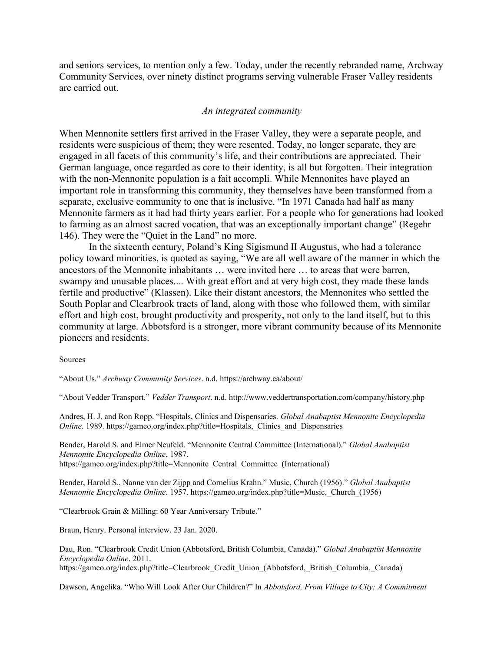and seniors services, to mention only a few. Today, under the recently rebranded name, Archway Community Services, over ninety distinct programs serving vulnerable Fraser Valley residents are carried out.

#### *An integrated community*

When Mennonite settlers first arrived in the Fraser Valley, they were a separate people, and residents were suspicious of them; they were resented. Today, no longer separate, they are engaged in all facets of this community's life, and their contributions are appreciated. Their German language, once regarded as core to their identity, is all but forgotten. Their integration with the non-Mennonite population is a fait accompli. While Mennonites have played an important role in transforming this community, they themselves have been transformed from a separate, exclusive community to one that is inclusive. "In 1971 Canada had half as many Mennonite farmers as it had had thirty years earlier. For a people who for generations had looked to farming as an almost sacred vocation, that was an exceptionally important change" (Regehr 146). They were the "Quiet in the Land" no more.

In the sixteenth century, Poland's King Sigismund II Augustus, who had a tolerance policy toward minorities, is quoted as saying, "We are all well aware of the manner in which the ancestors of the Mennonite inhabitants … were invited here … to areas that were barren, swampy and unusable places.... With great effort and at very high cost, they made these lands fertile and productive" (Klassen). Like their distant ancestors, the Mennonites who settled the South Poplar and Clearbrook tracts of land, along with those who followed them, with similar effort and high cost, brought productivity and prosperity, not only to the land itself, but to this community at large. Abbotsford is a stronger, more vibrant community because of its Mennonite pioneers and residents.

#### Sources

"About Us." *Archway Community Services*. n.d. https://archway.ca/about/

"About Vedder Transport." *Vedder Transport*. n.d. http://www.veddertransportation.com/company/history.php

Andres, H. J. and Ron Ropp. "Hospitals, Clinics and Dispensaries. *Global Anabaptist Mennonite Encyclopedia Online*. 1989. [https://gameo.org/index.php?title=Hospitals,\\_Clinics\\_and\\_Dispensaries](https://gameo.org/index.php?title=Hospitals,_Clinics_and_Dispensaries)

Bender, Harold S. and Elmer Neufeld. "Mennonite Central Committee (International)." *Global Anabaptist Mennonite Encyclopedia Online*. 1987. https://gameo.org/index.php?title=Mennonite\_Central\_Committee\_(International)

Bender, Harold S., Nanne van der Zijpp and Cornelius Krahn." Music, Church (1956)." *Global Anabaptist Mennonite Encyclopedia Online*. 1957. https://gameo.org/index.php?title=Music,\_Church\_(1956)

"Clearbrook Grain & Milling: 60 Year Anniversary Tribute."

Braun, Henry. Personal interview. 23 Jan. 2020.

Dau, Ron. "Clearbrook Credit Union (Abbotsford, British Columbia, Canada)." *Global Anabaptist Mennonite Encyclopedia Online*. 2011. https://gameo.org/index.php?title=Clearbrook Credit Union (Abbotsford, British Columbia, Canada)

Dawson, Angelika. "Who Will Look After Our Children?" In *Abbotsford, From Village to City: A Commitment*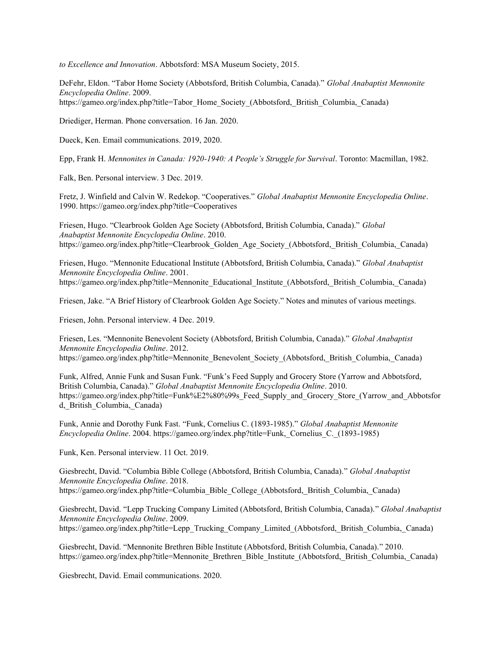*to Excellence and Innovation*. Abbotsford: MSA Museum Society, 2015.

DeFehr, Eldon. "Tabor Home Society (Abbotsford, British Columbia, Canada)." *Global Anabaptist Mennonite Encyclopedia Online*. 2009. https://gameo.org/index.php?title=Tabor\_Home\_Society\_(Abbotsford,\_British\_Columbia,\_Canada)

Driediger, Herman. Phone conversation. 16 Jan. 2020.

Dueck, Ken. Email communications. 2019, 2020.

Epp, Frank H. *Mennonites in Canada: 1920-1940: A People's Struggle for Survival*. Toronto: Macmillan, 1982.

Falk, Ben. Personal interview. 3 Dec. 2019.

Fretz, J. Winfield and Calvin W. Redekop. "Cooperatives." *Global Anabaptist Mennonite Encyclopedia Online*. 1990. https://gameo.org/index.php?title=Cooperatives

Friesen, Hugo. "Clearbrook Golden Age Society (Abbotsford, British Columbia, Canada)." *Global Anabaptist Mennonite Encyclopedia Online*. 2010. https://gameo.org/index.php?title=Clearbrook\_Golden\_Age\_Society\_(Abbotsford,\_British\_Columbia,\_Canada)

Friesen, Hugo. "Mennonite Educational Institute (Abbotsford, British Columbia, Canada)." *Global Anabaptist Mennonite Encyclopedia Online*. 2001. https://gameo.org/index.php?title=Mennonite\_Educational\_Institute (Abbotsford, British\_Columbia, Canada)

Friesen, Jake. "A Brief History of Clearbrook Golden Age Society." Notes and minutes of various meetings.

Friesen, John. Personal interview. 4 Dec. 2019.

Friesen, Les. "Mennonite Benevolent Society (Abbotsford, British Columbia, Canada)." *Global Anabaptist Mennonite Encyclopedia Online*. 2012. https://gameo.org/index.php?title=Mennonite\_Benevolent\_Society\_(Abbotsford,\_British\_Columbia,\_Canada)

Funk, Alfred, Annie Funk and Susan Funk. "Funk's Feed Supply and Grocery Store (Yarrow and Abbotsford, British Columbia, Canada)." *Global Anabaptist Mennonite Encyclopedia Online*. 2010. https://gameo.org/index.php?title=Funk%E2%80%99s\_Feed\_Supply\_and\_Grocery\_Store\_(Yarrow\_and\_Abbotsfor d,\_British\_Columbia,\_Canada)

Funk, Annie and Dorothy Funk Fast. "Funk, Cornelius C. (1893-1985)." *Global Anabaptist Mennonite Encyclopedia Online*. 2004. https://gameo.org/index.php?title=Funk,\_Cornelius\_C.\_(1893-1985)

Funk, Ken. Personal interview. 11 Oct. 2019.

Giesbrecht, David. "Columbia Bible College (Abbotsford, British Columbia, Canada)." *Global Anabaptist Mennonite Encyclopedia Online*. 2018. https://gameo.org/index.php?title=Columbia\_Bible\_College\_(Abbotsford, British\_Columbia, Canada)

Giesbrecht, David. "Lepp Trucking Company Limited (Abbotsford, British Columbia, Canada)." *Global Anabaptist Mennonite Encyclopedia Online*. 2009. https://gameo.org/index.php?title=Lepp\_Trucking\_Company\_Limited\_(Abbotsford,\_British\_Columbia,\_Canada)

Giesbrecht, David. "Mennonite Brethren Bible Institute (Abbotsford, British Columbia, Canada)." 2010. https://gameo.org/index.php?title=Mennonite\_Brethren\_Bible\_Institute\_(Abbotsford,\_British\_Columbia,\_Canada)

Giesbrecht, David. Email communications. 2020.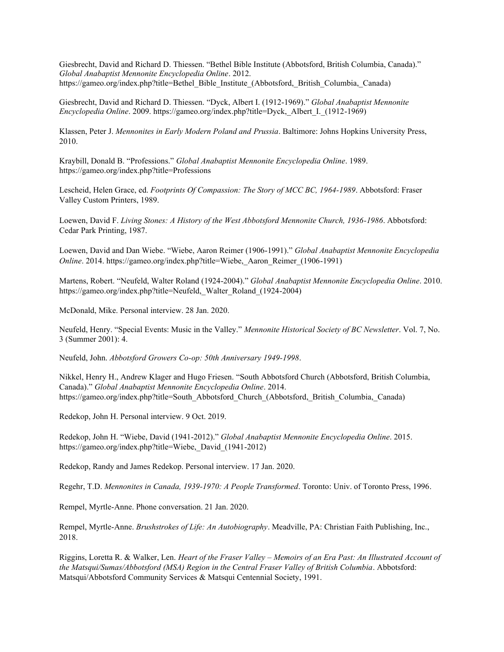Giesbrecht, David and Richard D. Thiessen. "Bethel Bible Institute (Abbotsford, British Columbia, Canada)." *Global Anabaptist Mennonite Encyclopedia Online*. 2012. https://gameo.org/index.php?title=Bethel\_Bible\_Institute (Abbotsford, British Columbia, Canada)

Giesbrecht, David and Richard D. Thiessen. "Dyck, Albert I. (1912-1969)." *Global Anabaptist Mennonite Encyclopedia Online*. 2009. https://gameo.org/index.php?title=Dyck,\_Albert\_I.\_(1912-1969)

Klassen, Peter J. *Mennonites in Early Modern Poland and Prussia*. Baltimore: Johns Hopkins University Press, 2010.

Kraybill, Donald B. "Professions." *Global Anabaptist Mennonite Encyclopedia Online*. 1989. https://gameo.org/index.php?title=Professions

Lescheid, Helen Grace, ed. *Footprints Of Compassion: The Story of MCC BC, 1964-1989*. Abbotsford: Fraser Valley Custom Printers, 1989.

Loewen, David F. *Living Stones: A History of the West Abbotsford Mennonite Church, 1936-1986*. Abbotsford: Cedar Park Printing, 1987.

Loewen, David and Dan Wiebe. "Wiebe, Aaron Reimer (1906-1991)." *Global Anabaptist Mennonite Encyclopedia Online*. 2014. https://gameo.org/index.php?title=Wiebe, Aaron Reimer (1906-1991)

Martens, Robert. "Neufeld, Walter Roland (1924-2004)." *Global Anabaptist Mennonite Encyclopedia Online*. 2010. https://gameo.org/index.php?title=Neufeld,\_Walter\_Roland\_(1924-2004)

McDonald, Mike. Personal interview. 28 Jan. 2020.

Neufeld, Henry. "Special Events: Music in the Valley." *Mennonite Historical Society of BC Newsletter*. Vol. 7, No. 3 (Summer 2001): 4.

Neufeld, John. *Abbotsford Growers Co-op: 50th Anniversary 1949-1998*.

Nikkel, Henry H., Andrew Klager and Hugo Friesen. "South Abbotsford Church (Abbotsford, British Columbia, Canada)." *Global Anabaptist Mennonite Encyclopedia Online*. 2014. https://gameo.org/index.php?title=South\_Abbotsford\_Church\_(Abbotsford,\_British\_Columbia,\_Canada)

Redekop, John H. Personal interview. 9 Oct. 2019.

Redekop, John H. "Wiebe, David (1941-2012)." *Global Anabaptist Mennonite Encyclopedia Online*. 2015. https://gameo.org/index.php?title=Wiebe,\_David\_(1941-2012)

Redekop, Randy and James Redekop. Personal interview. 17 Jan. 2020.

Regehr, T.D. *Mennonites in Canada, 1939-1970: A People Transformed*. Toronto: Univ. of Toronto Press, 1996.

Rempel, Myrtle-Anne. Phone conversation. 21 Jan. 2020.

Rempel, Myrtle-Anne. *Brushstrokes of Life: An Autobiography*. Meadville, PA: Christian Faith Publishing, Inc., 2018.

Riggins, Loretta R. & Walker, Len. *Heart of the Fraser Valley – Memoirs of an Era Past: An Illustrated Account of the Matsqui/Sumas/Abbotsford (MSA) Region in the Central Fraser Valley of British Columbia*. Abbotsford: Matsqui/Abbotsford Community Services & Matsqui Centennial Society, 1991.